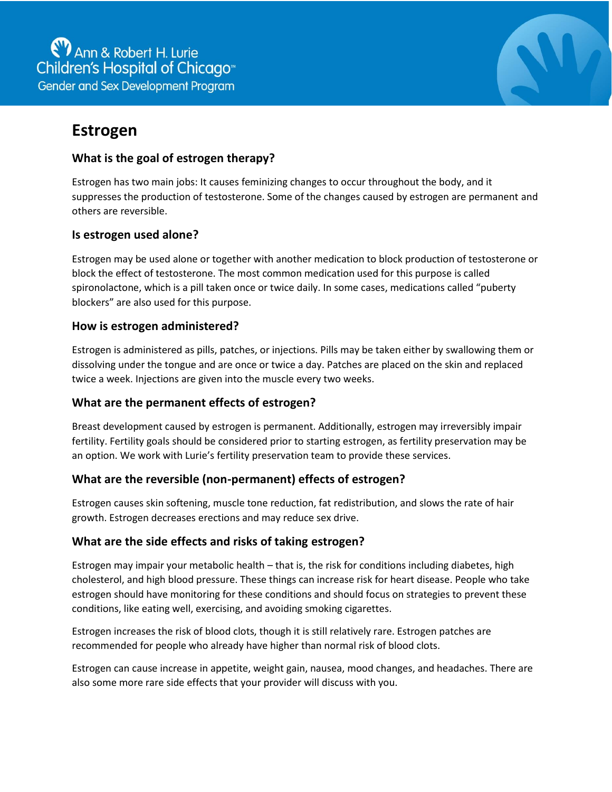

# **Estrogen**

## **What is the goal of estrogen therapy?**

Estrogen has two main jobs: It causes feminizing changes to occur throughout the body, and it suppresses the production of testosterone. Some of the changes caused by estrogen are permanent and others are reversible.

## **Is estrogen used alone?**

Estrogen may be used alone or together with another medication to block production of testosterone or block the effect of testosterone. The most common medication used for this purpose is called spironolactone, which is a pill taken once or twice daily. In some cases, medications called "puberty blockers" are also used for this purpose.

### **How is estrogen administered?**

Estrogen is administered as pills, patches, or injections. Pills may be taken either by swallowing them or dissolving under the tongue and are once or twice a day. Patches are placed on the skin and replaced twice a week. Injections are given into the muscle every two weeks.

# **What are the permanent effects of estrogen?**

Breast development caused by estrogen is permanent. Additionally, estrogen may irreversibly impair fertility. Fertility goals should be considered prior to starting estrogen, as fertility preservation may be an option. We work with Lurie's fertility preservation team to provide these services.

## **What are the reversible (non-permanent) effects of estrogen?**

Estrogen causes skin softening, muscle tone reduction, fat redistribution, and slows the rate of hair growth. Estrogen decreases erections and may reduce sex drive.

## **What are the side effects and risks of taking estrogen?**

Estrogen may impair your metabolic health – that is, the risk for conditions including diabetes, high cholesterol, and high blood pressure. These things can increase risk for heart disease. People who take estrogen should have monitoring for these conditions and should focus on strategies to prevent these conditions, like eating well, exercising, and avoiding smoking cigarettes.

Estrogen increases the risk of blood clots, though it is still relatively rare. Estrogen patches are recommended for people who already have higher than normal risk of blood clots.

Estrogen can cause increase in appetite, weight gain, nausea, mood changes, and headaches. There are also some more rare side effects that your provider will discuss with you.